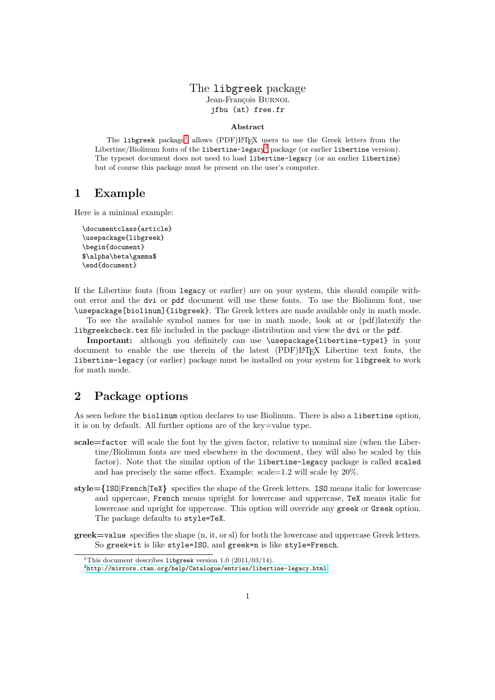#### The libgreek package Jean-François BURNOL jfbu (at) free.fr

#### Abstract

The libgreek package<sup>[1](#page-0-0)</sup> allows (PDF)L<sup>AT</sup>EX users to use the Greek letters from the Libertine/Biolinum fonts of the libertine-legacy<sup>[2](#page-0-1)</sup> package (or earlier libertine version). The typeset document does not need to load libertine-legacy (or an earlier libertine) but of course this package must be present on the user's computer.

### 1 Example

Here is a minimal example:

\documentclass{article} \usepackage{libgreek} \begin{document} \$\alpha\beta\gamma\$ \end{document}

If the Libertine fonts (from legacy or earlier) are on your system, this should compile without error and the dvi or pdf document will use these fonts. To use the Biolinum font, use \usepackage[biolinum]{libgreek}. The Greek letters are made available only in math mode.

To see the available symbol names for use in math mode, look at or (pdf)latexify the libgreekcheck.tex file included in the package distribution and view the dvi or the pdf.

Important: although you definitely can use \usepackage{libertine-type1} in your document to enable the use therein of the latest (PDF)LATEX Libertine text fonts, the libertine-legacy (or earlier) package must be installed on your system for libgreek to work for math mode.

# 2 Package options

As seen before the biolinum option declares to use Biolinum. There is also a libertine option, it is on by default. All further options are of the key=value type.

- scale=factor will scale the font by the given factor, relative to nominal size (when the Libertine/Biolinum fonts are used elsewhere in the document, they will also be scaled by this factor). Note that the similar option of the libertine-legacy package is called scaled and has precisely the same effect. Example: scale=1.2 will scale by 20%.
- style={ISO|French|TeX} specifies the shape of the Greek letters. ISO means italic for lowercase and uppercase, French means upright for lowercase and uppercase, TeX means italic for lowercase and upright for uppercase. This option will override any greek or Greek option. The package defaults to style=TeX.
- greek=value specifies the shape (n, it, or sl) for both the lowercase and uppercase Greek letters. So greek=it is like style=ISO, and greek=n is like style=French.

<sup>&</sup>lt;sup>1</sup>This document describes libgreek version 1.0 (2011/03/14).

<span id="page-0-1"></span><span id="page-0-0"></span> $^2$ <http://mirrors.ctan.org/help/Catalogue/entries/libertine-legacy.html>